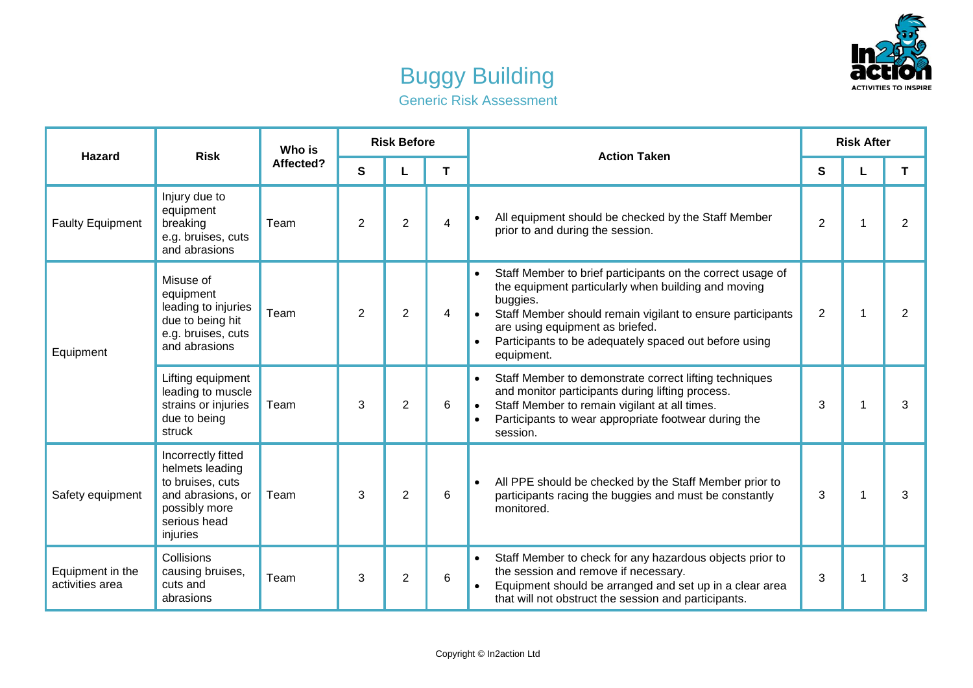

## Buggy Building Generic Risk Assessment

| <b>Hazard</b>                       | <b>Risk</b>                                                                                                                 | Who is<br>Affected? | <b>Risk Before</b> |                |   | <b>Action Taken</b>                                                                                                                                                                                                                                                                                                             | <b>Risk After</b> |                |                |
|-------------------------------------|-----------------------------------------------------------------------------------------------------------------------------|---------------------|--------------------|----------------|---|---------------------------------------------------------------------------------------------------------------------------------------------------------------------------------------------------------------------------------------------------------------------------------------------------------------------------------|-------------------|----------------|----------------|
|                                     |                                                                                                                             |                     | S                  | L              | T |                                                                                                                                                                                                                                                                                                                                 | S                 | L              | T.             |
| <b>Faulty Equipment</b>             | Injury due to<br>equipment<br>breaking<br>e.g. bruises, cuts<br>and abrasions                                               | Team                | 2                  | $\overline{2}$ | 4 | All equipment should be checked by the Staff Member<br>prior to and during the session.                                                                                                                                                                                                                                         | 2                 | 1              | $\overline{2}$ |
| Equipment                           | Misuse of<br>equipment<br>leading to injuries<br>due to being hit<br>e.g. bruises, cuts<br>and abrasions                    | Team                | 2                  | 2              | 4 | Staff Member to brief participants on the correct usage of<br>$\bullet$<br>the equipment particularly when building and moving<br>buggies.<br>Staff Member should remain vigilant to ensure participants<br>are using equipment as briefed.<br>Participants to be adequately spaced out before using<br>$\bullet$<br>equipment. | 2                 | $\overline{1}$ | $\overline{2}$ |
|                                     | Lifting equipment<br>leading to muscle<br>strains or injuries<br>due to being<br>struck                                     | Team                | 3                  | $\overline{2}$ | 6 | Staff Member to demonstrate correct lifting techniques<br>$\bullet$<br>and monitor participants during lifting process.<br>Staff Member to remain vigilant at all times.<br>$\bullet$<br>Participants to wear appropriate footwear during the<br>$\bullet$<br>session.                                                          | 3                 | 1              | 3              |
| Safety equipment                    | Incorrectly fitted<br>helmets leading<br>to bruises, cuts<br>and abrasions, or<br>possibly more<br>serious head<br>injuries | Team                | 3                  | $\overline{2}$ | 6 | All PPE should be checked by the Staff Member prior to<br>participants racing the buggies and must be constantly<br>monitored.                                                                                                                                                                                                  | 3                 | 1              | 3              |
| Equipment in the<br>activities area | Collisions<br>causing bruises,<br>cuts and<br>abrasions                                                                     | Team                | 3                  | 2              | 6 | Staff Member to check for any hazardous objects prior to<br>$\bullet$<br>the session and remove if necessary.<br>Equipment should be arranged and set up in a clear area<br>that will not obstruct the session and participants.                                                                                                | 3                 | 1              | 3              |